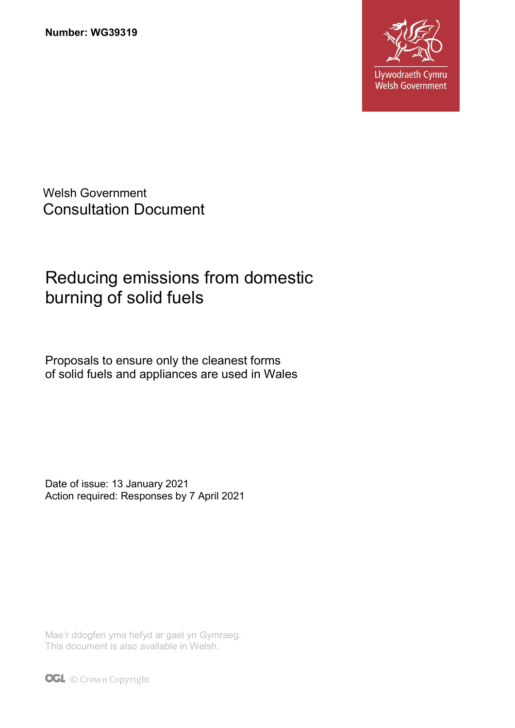

Welsh Government Consultation Document

# Reducing emissions from domestic burning of solid fuels

Proposals to ensure only the cleanest forms of solid fuels and appliances are used in Wales

Date of issue: 13 January 2021 Action required: Responses by 7 April 2021

Mae'r ddogfen yma hefyd ar gael yn Gymraeg. This document is also available in Welsh.

**OGL** © Crown Copyright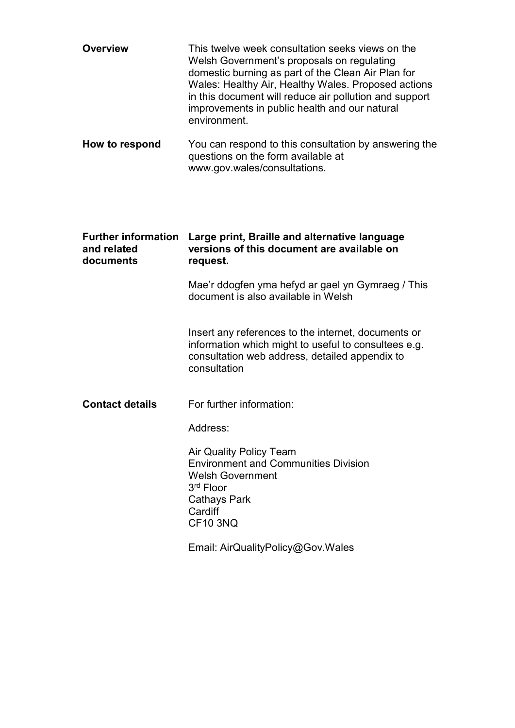| <b>Overview</b>                                        | This twelve week consultation seeks views on the<br>Welsh Government's proposals on regulating<br>domestic burning as part of the Clean Air Plan for<br>Wales: Healthy Air, Healthy Wales. Proposed actions<br>in this document will reduce air pollution and support<br>improvements in public health and our natural<br>environment. |  |
|--------------------------------------------------------|----------------------------------------------------------------------------------------------------------------------------------------------------------------------------------------------------------------------------------------------------------------------------------------------------------------------------------------|--|
| How to respond                                         | You can respond to this consultation by answering the<br>questions on the form available at<br>www.gov.wales/consultations.                                                                                                                                                                                                            |  |
| <b>Further information</b><br>and related<br>documents | Large print, Braille and alternative language<br>versions of this document are available on<br>request.                                                                                                                                                                                                                                |  |
|                                                        | Mae'r ddogfen yma hefyd ar gael yn Gymraeg / This<br>document is also available in Welsh                                                                                                                                                                                                                                               |  |
|                                                        | Insert any references to the internet, documents or<br>information which might to useful to consultees e.g.<br>consultation web address, detailed appendix to<br>consultation                                                                                                                                                          |  |
| <b>Contact details</b>                                 | For further information:                                                                                                                                                                                                                                                                                                               |  |
|                                                        | Address:                                                                                                                                                                                                                                                                                                                               |  |
|                                                        | <b>Air Quality Policy Team</b><br><b>Environment and Communities Division</b><br><b>Welsh Government</b><br>3 <sup>rd</sup> Floor<br><b>Cathays Park</b><br>Cardiff<br><b>CF10 3NQ</b>                                                                                                                                                 |  |
|                                                        | Email: AirQualityPolicy@Gov.Wales                                                                                                                                                                                                                                                                                                      |  |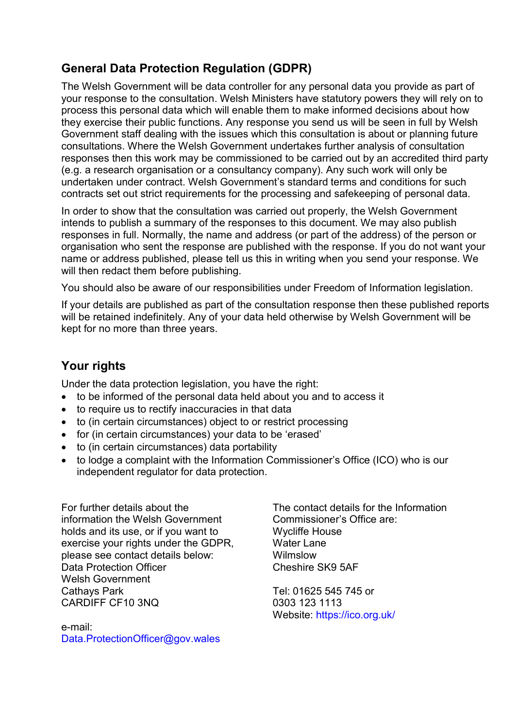# General Data Protection Regulation (GDPR)

The Welsh Government will be data controller for any personal data you provide as part of your response to the consultation. Welsh Ministers have statutory powers they will rely on to process this personal data which will enable them to make informed decisions about how they exercise their public functions. Any response you send us will be seen in full by Welsh Government staff dealing with the issues which this consultation is about or planning future consultations. Where the Welsh Government undertakes further analysis of consultation responses then this work may be commissioned to be carried out by an accredited third party (e.g. a research organisation or a consultancy company). Any such work will only be undertaken under contract. Welsh Government's standard terms and conditions for such contracts set out strict requirements for the processing and safekeeping of personal data.

In order to show that the consultation was carried out properly, the Welsh Government intends to publish a summary of the responses to this document. We may also publish responses in full. Normally, the name and address (or part of the address) of the person or organisation who sent the response are published with the response. If you do not want your name or address published, please tell us this in writing when you send your response. We will then redact them before publishing.

You should also be aware of our responsibilities under Freedom of Information legislation.

If your details are published as part of the consultation response then these published reports will be retained indefinitely. Any of your data held otherwise by Welsh Government will be kept for no more than three years.

# Your rights

Under the data protection legislation, you have the right:

- to be informed of the personal data held about you and to access it
- to require us to rectify inaccuracies in that data
- to (in certain circumstances) object to or restrict processing
- for (in certain circumstances) your data to be 'erased'
- to (in certain circumstances) data portability
- to lodge a complaint with the Information Commissioner's Office (ICO) who is our independent regulator for data protection.

For further details about the information the Welsh Government holds and its use, or if you want to exercise your rights under the GDPR, please see contact details below: Data Protection Officer Welsh Government Cathays Park CARDIFF CF10 3NQ

e-mail: Data.ProtectionOfficer@gov.wales

The contact details for the Information Commissioner's Office are: Wycliffe House Water Lane Wilmslow Cheshire SK9 5AF

Tel: 01625 545 745 or 0303 123 1113 Website: https://ico.org.uk/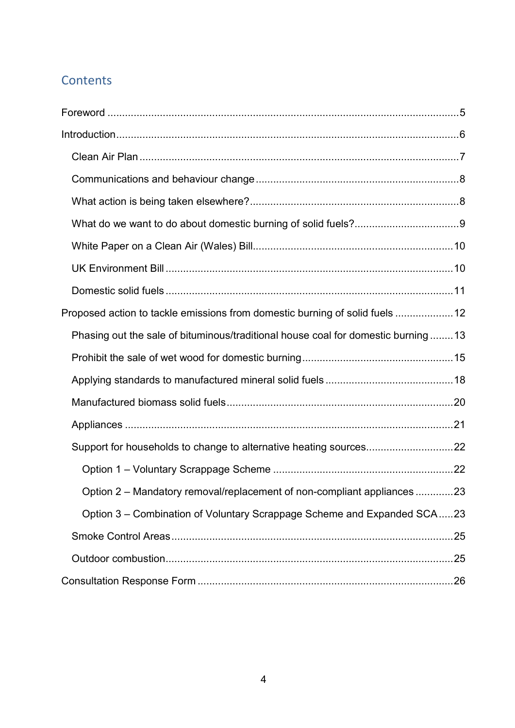# **Contents**

| Proposed action to tackle emissions from domestic burning of solid fuels  12     |
|----------------------------------------------------------------------------------|
| Phasing out the sale of bituminous/traditional house coal for domestic burning13 |
|                                                                                  |
|                                                                                  |
|                                                                                  |
|                                                                                  |
|                                                                                  |
|                                                                                  |
| Option 2 - Mandatory removal/replacement of non-compliant appliances 23          |
| Option 3 – Combination of Voluntary Scrappage Scheme and Expanded SCA23          |
|                                                                                  |
|                                                                                  |
|                                                                                  |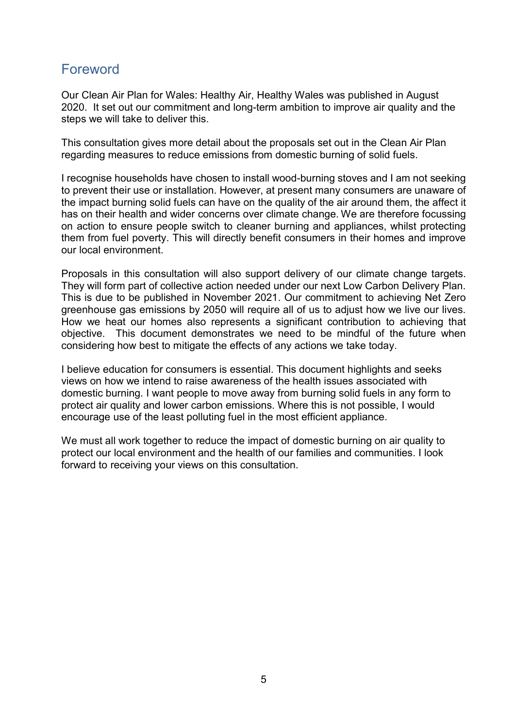# Foreword

Our Clean Air Plan for Wales: Healthy Air, Healthy Wales was published in August 2020. It set out our commitment and long-term ambition to improve air quality and the steps we will take to deliver this.

This consultation gives more detail about the proposals set out in the Clean Air Plan regarding measures to reduce emissions from domestic burning of solid fuels.

I recognise households have chosen to install wood-burning stoves and I am not seeking to prevent their use or installation. However, at present many consumers are unaware of the impact burning solid fuels can have on the quality of the air around them, the affect it has on their health and wider concerns over climate change. We are therefore focussing on action to ensure people switch to cleaner burning and appliances, whilst protecting them from fuel poverty. This will directly benefit consumers in their homes and improve our local environment.

Proposals in this consultation will also support delivery of our climate change targets. They will form part of collective action needed under our next Low Carbon Delivery Plan. This is due to be published in November 2021. Our commitment to achieving Net Zero greenhouse gas emissions by 2050 will require all of us to adjust how we live our lives. How we heat our homes also represents a significant contribution to achieving that objective. This document demonstrates we need to be mindful of the future when considering how best to mitigate the effects of any actions we take today.

I believe education for consumers is essential. This document highlights and seeks views on how we intend to raise awareness of the health issues associated with domestic burning. I want people to move away from burning solid fuels in any form to protect air quality and lower carbon emissions. Where this is not possible, I would encourage use of the least polluting fuel in the most efficient appliance.

We must all work together to reduce the impact of domestic burning on air quality to protect our local environment and the health of our families and communities. I look forward to receiving your views on this consultation.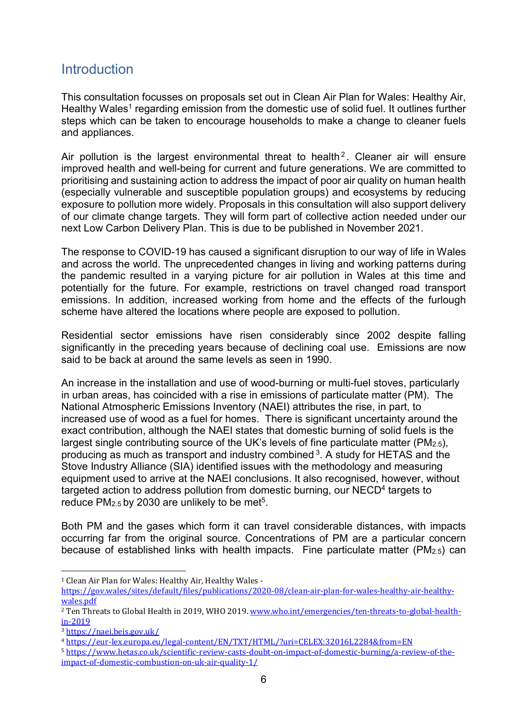# **Introduction**

This consultation focusses on proposals set out in Clean Air Plan for Wales: Healthy Air, Healthy Wales<sup>1</sup> regarding emission from the domestic use of solid fuel. It outlines further steps which can be taken to encourage households to make a change to cleaner fuels and appliances.

Air pollution is the largest environmental threat to health<sup>2</sup>. Cleaner air will ensure improved health and well-being for current and future generations. We are committed to prioritising and sustaining action to address the impact of poor air quality on human health (especially vulnerable and susceptible population groups) and ecosystems by reducing exposure to pollution more widely. Proposals in this consultation will also support delivery of our climate change targets. They will form part of collective action needed under our next Low Carbon Delivery Plan. This is due to be published in November 2021.

The response to COVID-19 has caused a significant disruption to our way of life in Wales and across the world. The unprecedented changes in living and working patterns during the pandemic resulted in a varying picture for air pollution in Wales at this time and potentially for the future. For example, restrictions on travel changed road transport emissions. In addition, increased working from home and the effects of the furlough scheme have altered the locations where people are exposed to pollution.

Residential sector emissions have risen considerably since 2002 despite falling significantly in the preceding years because of declining coal use. Emissions are now said to be back at around the same levels as seen in 1990.

An increase in the installation and use of wood-burning or multi-fuel stoves, particularly in urban areas, has coincided with a rise in emissions of particulate matter (PM). The National Atmospheric Emissions Inventory (NAEI) attributes the rise, in part, to increased use of wood as a fuel for homes. There is significant uncertainty around the exact contribution, although the NAEI states that domestic burning of solid fuels is the largest single contributing source of the UK's levels of fine particulate matter (PM2.5), producing as much as transport and industry combined  $3$ . A study for HETAS and the Stove Industry Alliance (SIA) identified issues with the methodology and measuring equipment used to arrive at the NAEI conclusions. It also recognised, however, without targeted action to address pollution from domestic burning, our NECD<sup>4</sup> targets to reduce  $PM_{2.5}$  by 2030 are unlikely to be met<sup>5</sup>.

Both PM and the gases which form it can travel considerable distances, with impacts occurring far from the original source. Concentrations of PM are a particular concern because of established links with health impacts. Fine particulate matter (PM2.5) can

-

<sup>1</sup> Clean Air Plan for Wales: Healthy Air, Healthy Wales -

https://gov.wales/sites/default/files/publications/2020-08/clean-air-plan-for-wales-healthy-air-healthywales.pdf

<sup>2</sup> Ten Threats to Global Health in 2019, WHO 2019. www.who.int/emergencies/ten-threats-to-global-healthin-2019

<sup>3</sup> https://naei.beis.gov.uk/

<sup>4</sup> https://eur-lex.europa.eu/legal-content/EN/TXT/HTML/?uri=CELEX:32016L2284&from=EN

<sup>5</sup> https://www.hetas.co.uk/scientific-review-casts-doubt-on-impact-of-domestic-burning/a-review-of-theimpact-of-domestic-combustion-on-uk-air-quality-1/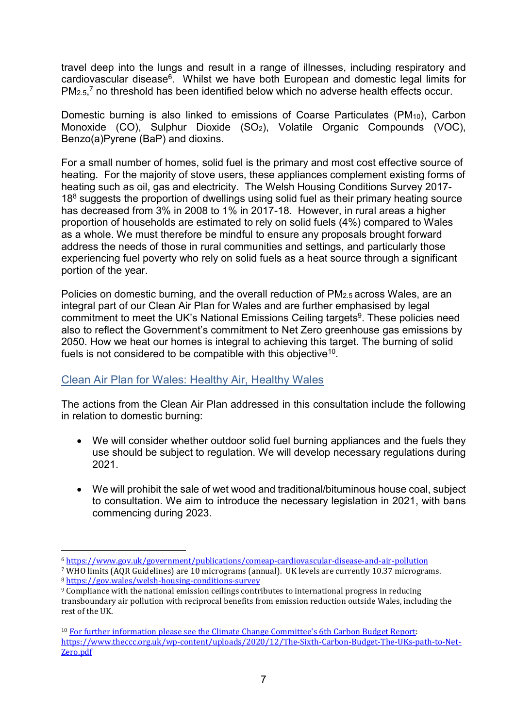travel deep into the lungs and result in a range of illnesses, including respiratory and cardiovascular disease<sup>6</sup>. Whilst we have both European and domestic legal limits for  $PM<sub>2.5</sub>$ <sup>7</sup> no threshold has been identified below which no adverse health effects occur.

Domestic burning is also linked to emissions of Coarse Particulates (PM<sub>10</sub>), Carbon Monoxide (CO), Sulphur Dioxide (SO<sub>2</sub>), Volatile Organic Compounds (VOC), Benzo(a)Pyrene (BaP) and dioxins.

For a small number of homes, solid fuel is the primary and most cost effective source of heating. For the majority of stove users, these appliances complement existing forms of heating such as oil, gas and electricity. The Welsh Housing Conditions Survey 2017- 18<sup>8</sup> suggests the proportion of dwellings using solid fuel as their primary heating source has decreased from 3% in 2008 to 1% in 2017-18. However, in rural areas a higher proportion of households are estimated to rely on solid fuels (4%) compared to Wales as a whole. We must therefore be mindful to ensure any proposals brought forward address the needs of those in rural communities and settings, and particularly those experiencing fuel poverty who rely on solid fuels as a heat source through a significant portion of the year.

Policies on domestic burning, and the overall reduction of PM<sub>2.5</sub> across Wales, are an integral part of our Clean Air Plan for Wales and are further emphasised by legal commitment to meet the UK's National Emissions Ceiling targets<sup>9</sup>. These policies need also to reflect the Government's commitment to Net Zero greenhouse gas emissions by 2050. How we heat our homes is integral to achieving this target. The burning of solid fuels is not considered to be compatible with this objective<sup>10</sup>.

#### Clean Air Plan for Wales: Healthy Air, Healthy Wales

The actions from the Clean Air Plan addressed in this consultation include the following in relation to domestic burning:

- We will consider whether outdoor solid fuel burning appliances and the fuels they use should be subject to regulation. We will develop necessary regulations during 2021.
- We will prohibit the sale of wet wood and traditional/bituminous house coal, subject to consultation. We aim to introduce the necessary legislation in 2021, with bans commencing during 2023.

<sup>-</sup><sup>6</sup> https://www.gov.uk/government/publications/comeap-cardiovascular-disease-and-air-pollution

<sup>7</sup> WHO limits (AQR Guidelines) are 10 micrograms (annual). UK levels are currently 10.37 micrograms. <sup>8</sup> https://gov.wales/welsh-housing-conditions-survey

<sup>&</sup>lt;sup>9</sup> Compliance with the national emission ceilings contributes to international progress in reducing transboundary air pollution with reciprocal benefits from emission reduction outside Wales, including the rest of the UK.

<sup>&</sup>lt;sup>10</sup> For further information please see the Climate Change Committee's 6th Carbon Budget Report: https://www.theccc.org.uk/wp-content/uploads/2020/12/The-Sixth-Carbon-Budget-The-UKs-path-to-Net-Zero.pdf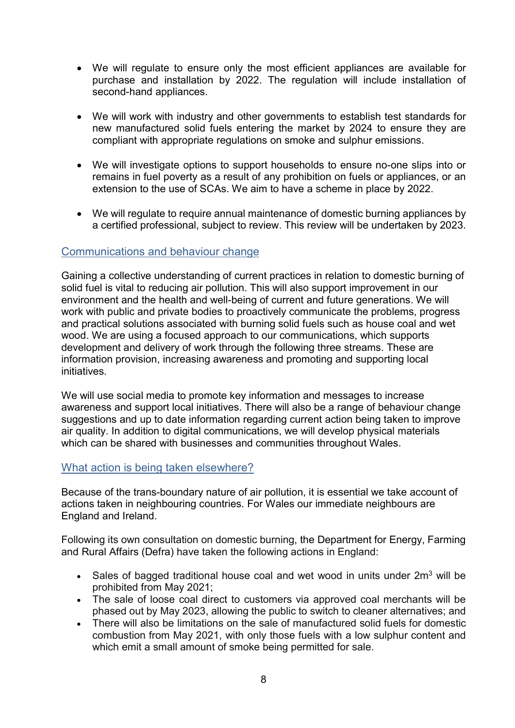- We will regulate to ensure only the most efficient appliances are available for purchase and installation by 2022. The regulation will include installation of second-hand appliances.
- We will work with industry and other governments to establish test standards for new manufactured solid fuels entering the market by 2024 to ensure they are compliant with appropriate regulations on smoke and sulphur emissions.
- We will investigate options to support households to ensure no-one slips into or remains in fuel poverty as a result of any prohibition on fuels or appliances, or an extension to the use of SCAs. We aim to have a scheme in place by 2022.
- We will regulate to require annual maintenance of domestic burning appliances by a certified professional, subject to review. This review will be undertaken by 2023.

#### Communications and behaviour change

Gaining a collective understanding of current practices in relation to domestic burning of solid fuel is vital to reducing air pollution. This will also support improvement in our environment and the health and well-being of current and future generations. We will work with public and private bodies to proactively communicate the problems, progress and practical solutions associated with burning solid fuels such as house coal and wet wood. We are using a focused approach to our communications, which supports development and delivery of work through the following three streams. These are information provision, increasing awareness and promoting and supporting local initiatives.

We will use social media to promote key information and messages to increase awareness and support local initiatives. There will also be a range of behaviour change suggestions and up to date information regarding current action being taken to improve air quality. In addition to digital communications, we will develop physical materials which can be shared with businesses and communities throughout Wales.

#### What action is being taken elsewhere?

Because of the trans-boundary nature of air pollution, it is essential we take account of actions taken in neighbouring countries. For Wales our immediate neighbours are England and Ireland.

Following its own consultation on domestic burning, the Department for Energy, Farming and Rural Affairs (Defra) have taken the following actions in England:

- Sales of bagged traditional house coal and wet wood in units under  $2m<sup>3</sup>$  will be prohibited from May 2021;
- The sale of loose coal direct to customers via approved coal merchants will be phased out by May 2023, allowing the public to switch to cleaner alternatives; and
- There will also be limitations on the sale of manufactured solid fuels for domestic combustion from May 2021, with only those fuels with a low sulphur content and which emit a small amount of smoke being permitted for sale.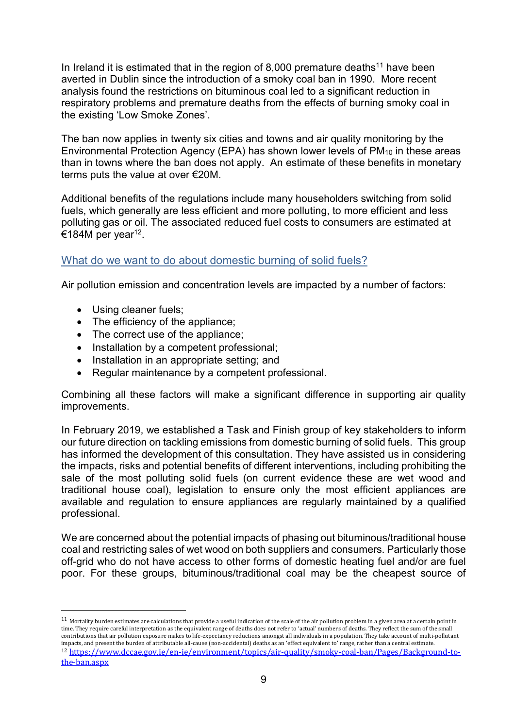In Ireland it is estimated that in the region of 8,000 premature deaths<sup>11</sup> have been averted in Dublin since the introduction of a smoky coal ban in 1990. More recent analysis found the restrictions on bituminous coal led to a significant reduction in respiratory problems and premature deaths from the effects of burning smoky coal in the existing 'Low Smoke Zones'.

The ban now applies in twenty six cities and towns and air quality monitoring by the Environmental Protection Agency (EPA) has shown lower levels of PM<sub>10</sub> in these areas than in towns where the ban does not apply. An estimate of these benefits in monetary terms puts the value at over €20M.

Additional benefits of the regulations include many householders switching from solid fuels, which generally are less efficient and more polluting, to more efficient and less polluting gas or oil. The associated reduced fuel costs to consumers are estimated at €184M per year<sup>12</sup>.

#### What do we want to do about domestic burning of solid fuels?

Air pollution emission and concentration levels are impacted by a number of factors:

• Using cleaner fuels;

-

- The efficiency of the appliance:
- The correct use of the appliance;
- Installation by a competent professional:
- Installation in an appropriate setting; and
- Regular maintenance by a competent professional.

Combining all these factors will make a significant difference in supporting air quality improvements.

In February 2019, we established a Task and Finish group of key stakeholders to inform our future direction on tackling emissions from domestic burning of solid fuels. This group has informed the development of this consultation. They have assisted us in considering the impacts, risks and potential benefits of different interventions, including prohibiting the sale of the most polluting solid fuels (on current evidence these are wet wood and traditional house coal), legislation to ensure only the most efficient appliances are available and regulation to ensure appliances are regularly maintained by a qualified professional.

We are concerned about the potential impacts of phasing out bituminous/traditional house coal and restricting sales of wet wood on both suppliers and consumers. Particularly those off-grid who do not have access to other forms of domestic heating fuel and/or are fuel poor. For these groups, bituminous/traditional coal may be the cheapest source of

 $11$  Mortality burden estimates are calculations that provide a useful indication of the scale of the air pollution problem in a given area at a certain point in time. They require careful interpretation as the equivalent range of deaths does not refer to 'actual' numbers of deaths. They reflect the sum of the small contributions that air pollution exposure makes to life-expectancy reductions amongst all individuals in a population. They take account of multi-pollutant impacts, and present the burden of attributable all-cause (non-accidental) deaths as an 'effect equivalent to' range, rather than a central estimate. <sup>12</sup> https://www.dccae.gov.ie/en-ie/environment/topics/air-quality/smoky-coal-ban/Pages/Background-tothe-ban.aspx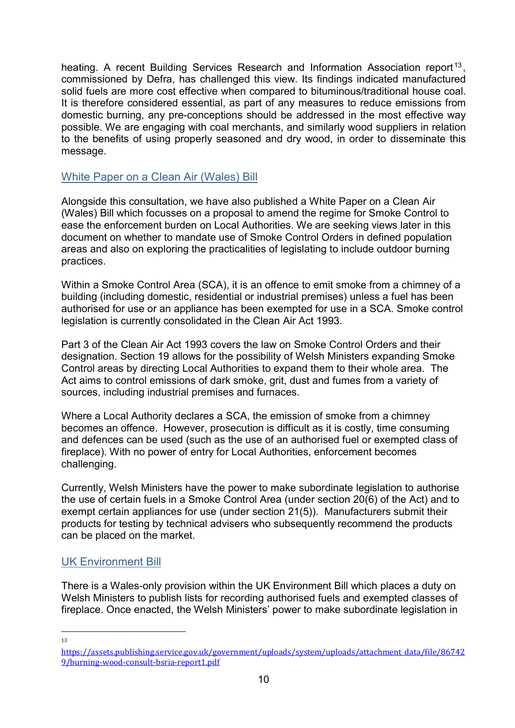heating. A recent Building Services Research and Information Association report<sup>13</sup>, commissioned by Defra, has challenged this view. Its findings indicated manufactured solid fuels are more cost effective when compared to bituminous/traditional house coal. It is therefore considered essential, as part of any measures to reduce emissions from domestic burning, any pre-conceptions should be addressed in the most effective way possible. We are engaging with coal merchants, and similarly wood suppliers in relation to the benefits of using properly seasoned and dry wood, in order to disseminate this message.

#### White Paper on a Clean Air (Wales) Bill

Alongside this consultation, we have also published a White Paper on a Clean Air (Wales) Bill which focusses on a proposal to amend the regime for Smoke Control to ease the enforcement burden on Local Authorities. We are seeking views later in this document on whether to mandate use of Smoke Control Orders in defined population areas and also on exploring the practicalities of legislating to include outdoor burning practices.

Within a Smoke Control Area (SCA), it is an offence to emit smoke from a chimney of a building (including domestic, residential or industrial premises) unless a fuel has been authorised for use or an appliance has been exempted for use in a SCA. Smoke control legislation is currently consolidated in the Clean Air Act 1993.

Part 3 of the Clean Air Act 1993 covers the law on Smoke Control Orders and their designation. Section 19 allows for the possibility of Welsh Ministers expanding Smoke Control areas by directing Local Authorities to expand them to their whole area. The Act aims to control emissions of dark smoke, grit, dust and fumes from a variety of sources, including industrial premises and furnaces.

Where a Local Authority declares a SCA, the emission of smoke from a chimney becomes an offence. However, prosecution is difficult as it is costly, time consuming and defences can be used (such as the use of an authorised fuel or exempted class of fireplace). With no power of entry for Local Authorities, enforcement becomes challenging.

Currently, Welsh Ministers have the power to make subordinate legislation to authorise the use of certain fuels in a Smoke Control Area (under section 20(6) of the Act) and to exempt certain appliances for use (under section 21(5)). Manufacturers submit their products for testing by technical advisers who subsequently recommend the products can be placed on the market.

## UK Environment Bill

There is a Wales-only provision within the UK Environment Bill which places a duty on Welsh Ministers to publish lists for recording authorised fuels and exempted classes of fireplace. Once enacted, the Welsh Ministers' power to make subordinate legislation in

-13

https://assets.publishing.service.gov.uk/government/uploads/system/uploads/attachment\_data/file/86742 9/burning-wood-consult-bsria-report1.pdf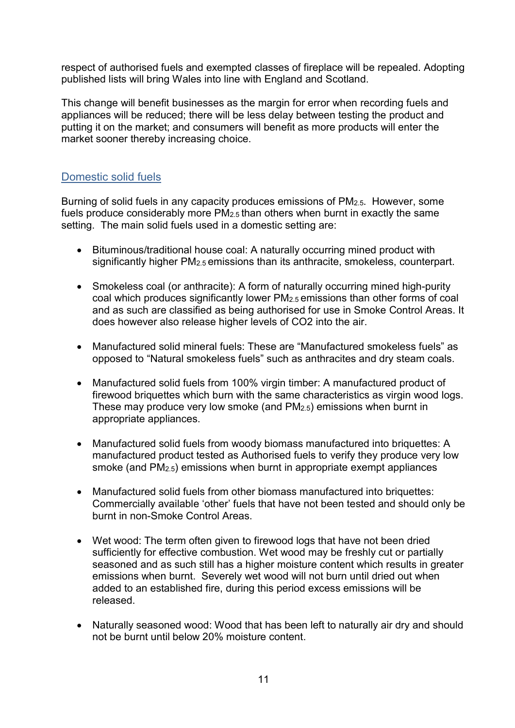respect of authorised fuels and exempted classes of fireplace will be repealed. Adopting published lists will bring Wales into line with England and Scotland.

This change will benefit businesses as the margin for error when recording fuels and appliances will be reduced; there will be less delay between testing the product and putting it on the market; and consumers will benefit as more products will enter the market sooner thereby increasing choice.

### Domestic solid fuels

Burning of solid fuels in any capacity produces emissions of PM2.5. However, some fuels produce considerably more PM2.5 than others when burnt in exactly the same setting. The main solid fuels used in a domestic setting are:

- Bituminous/traditional house coal: A naturally occurring mined product with significantly higher PM2.5 emissions than its anthracite, smokeless, counterpart.
- Smokeless coal (or anthracite): A form of naturally occurring mined high-purity coal which produces significantly lower PM2.5 emissions than other forms of coal and as such are classified as being authorised for use in Smoke Control Areas. It does however also release higher levels of CO2 into the air.
- Manufactured solid mineral fuels: These are "Manufactured smokeless fuels" as opposed to "Natural smokeless fuels" such as anthracites and dry steam coals.
- Manufactured solid fuels from 100% virgin timber: A manufactured product of firewood briquettes which burn with the same characteristics as virgin wood logs. These may produce very low smoke (and PM2.5) emissions when burnt in appropriate appliances.
- Manufactured solid fuels from woody biomass manufactured into briquettes: A manufactured product tested as Authorised fuels to verify they produce very low smoke (and PM2.5) emissions when burnt in appropriate exempt appliances
- Manufactured solid fuels from other biomass manufactured into briquettes: Commercially available 'other' fuels that have not been tested and should only be burnt in non-Smoke Control Areas.
- Wet wood: The term often given to firewood logs that have not been dried sufficiently for effective combustion. Wet wood may be freshly cut or partially seasoned and as such still has a higher moisture content which results in greater emissions when burnt. Severely wet wood will not burn until dried out when added to an established fire, during this period excess emissions will be released.
- Naturally seasoned wood: Wood that has been left to naturally air dry and should not be burnt until below 20% moisture content.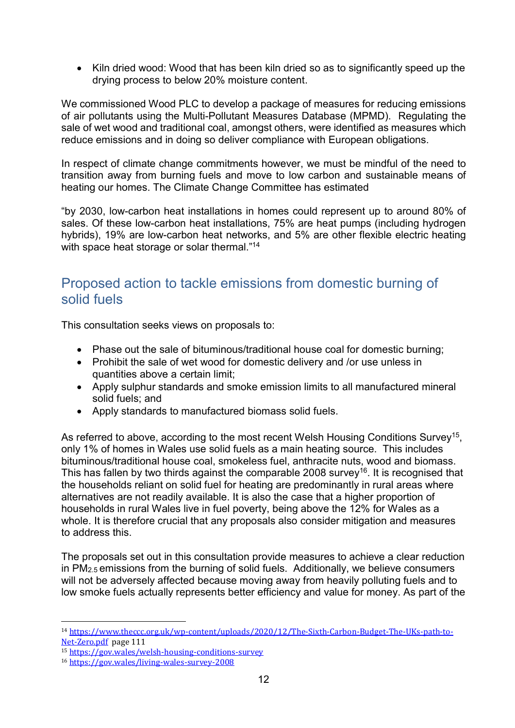Kiln dried wood: Wood that has been kiln dried so as to significantly speed up the drying process to below 20% moisture content.

We commissioned Wood PLC to develop a package of measures for reducing emissions of air pollutants using the Multi-Pollutant Measures Database (MPMD). Regulating the sale of wet wood and traditional coal, amongst others, were identified as measures which reduce emissions and in doing so deliver compliance with European obligations.

In respect of climate change commitments however, we must be mindful of the need to transition away from burning fuels and move to low carbon and sustainable means of heating our homes. The Climate Change Committee has estimated

"by 2030, low-carbon heat installations in homes could represent up to around 80% of sales. Of these low-carbon heat installations, 75% are heat pumps (including hydrogen hybrids), 19% are low-carbon heat networks, and 5% are other flexible electric heating with space heat storage or solar thermal."<sup>14</sup>

# Proposed action to tackle emissions from domestic burning of solid fuels

This consultation seeks views on proposals to:

- Phase out the sale of bituminous/traditional house coal for domestic burning;
- Prohibit the sale of wet wood for domestic delivery and /or use unless in quantities above a certain limit;
- Apply sulphur standards and smoke emission limits to all manufactured mineral solid fuels; and
- Apply standards to manufactured biomass solid fuels.

As referred to above, according to the most recent Welsh Housing Conditions Survey<sup>15</sup>, only 1% of homes in Wales use solid fuels as a main heating source. This includes bituminous/traditional house coal, smokeless fuel, anthracite nuts, wood and biomass. This has fallen by two thirds against the comparable 2008 survey<sup>16</sup>. It is recognised that the households reliant on solid fuel for heating are predominantly in rural areas where alternatives are not readily available. It is also the case that a higher proportion of households in rural Wales live in fuel poverty, being above the 12% for Wales as a whole. It is therefore crucial that any proposals also consider mitigation and measures to address this.

The proposals set out in this consultation provide measures to achieve a clear reduction in PM2.5 emissions from the burning of solid fuels. Additionally, we believe consumers will not be adversely affected because moving away from heavily polluting fuels and to low smoke fuels actually represents better efficiency and value for money. As part of the

-

<sup>14</sup> https://www.theccc.org.uk/wp-content/uploads/2020/12/The-Sixth-Carbon-Budget-The-UKs-path-to-Net-Zero.pdf page 111

<sup>15</sup> https://gov.wales/welsh-housing-conditions-survey

<sup>16</sup> https://gov.wales/living-wales-survey-2008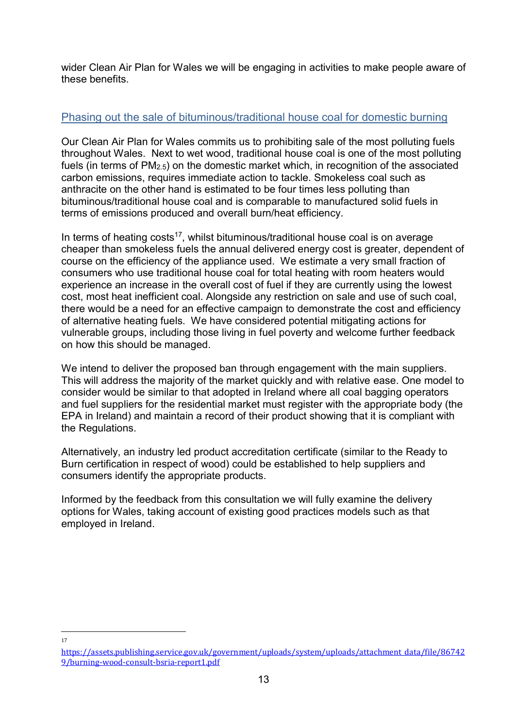wider Clean Air Plan for Wales we will be engaging in activities to make people aware of these benefits.

## Phasing out the sale of bituminous/traditional house coal for domestic burning

Our Clean Air Plan for Wales commits us to prohibiting sale of the most polluting fuels throughout Wales. Next to wet wood, traditional house coal is one of the most polluting fuels (in terms of PM2.5) on the domestic market which, in recognition of the associated carbon emissions, requires immediate action to tackle. Smokeless coal such as anthracite on the other hand is estimated to be four times less polluting than bituminous/traditional house coal and is comparable to manufactured solid fuels in terms of emissions produced and overall burn/heat efficiency.

In terms of heating costs<sup>17</sup>, whilst bituminous/traditional house coal is on average cheaper than smokeless fuels the annual delivered energy cost is greater, dependent of course on the efficiency of the appliance used. We estimate a very small fraction of consumers who use traditional house coal for total heating with room heaters would experience an increase in the overall cost of fuel if they are currently using the lowest cost, most heat inefficient coal. Alongside any restriction on sale and use of such coal, there would be a need for an effective campaign to demonstrate the cost and efficiency of alternative heating fuels. We have considered potential mitigating actions for vulnerable groups, including those living in fuel poverty and welcome further feedback on how this should be managed.

We intend to deliver the proposed ban through engagement with the main suppliers. This will address the majority of the market quickly and with relative ease. One model to consider would be similar to that adopted in Ireland where all coal bagging operators and fuel suppliers for the residential market must register with the appropriate body (the EPA in Ireland) and maintain a record of their product showing that it is compliant with the Regulations.

Alternatively, an industry led product accreditation certificate (similar to the Ready to Burn certification in respect of wood) could be established to help suppliers and consumers identify the appropriate products.

Informed by the feedback from this consultation we will fully examine the delivery options for Wales, taking account of existing good practices models such as that employed in Ireland.

-17

https://assets.publishing.service.gov.uk/government/uploads/system/uploads/attachment\_data/file/86742 9/burning-wood-consult-bsria-report1.pdf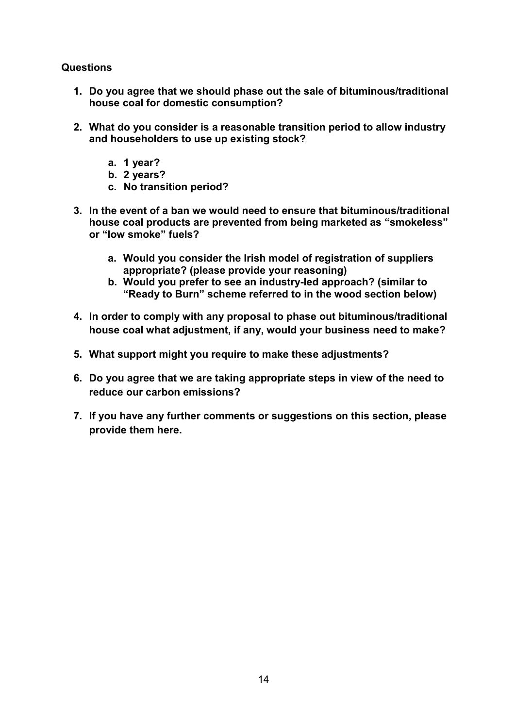#### Questions

- 1. Do you agree that we should phase out the sale of bituminous/traditional house coal for domestic consumption?
- 2. What do you consider is a reasonable transition period to allow industry and householders to use up existing stock?
	- a. 1 year?
	- b. 2 years?
	- c. No transition period?
- 3. In the event of a ban we would need to ensure that bituminous/traditional house coal products are prevented from being marketed as "smokeless" or "low smoke" fuels?
	- a. Would you consider the Irish model of registration of suppliers appropriate? (please provide your reasoning)
	- b. Would you prefer to see an industry-led approach? (similar to "Ready to Burn" scheme referred to in the wood section below)
- 4. In order to comply with any proposal to phase out bituminous/traditional house coal what adjustment, if any, would your business need to make?
- 5. What support might you require to make these adjustments?
- 6. Do you agree that we are taking appropriate steps in view of the need to reduce our carbon emissions?
- 7. If you have any further comments or suggestions on this section, please provide them here.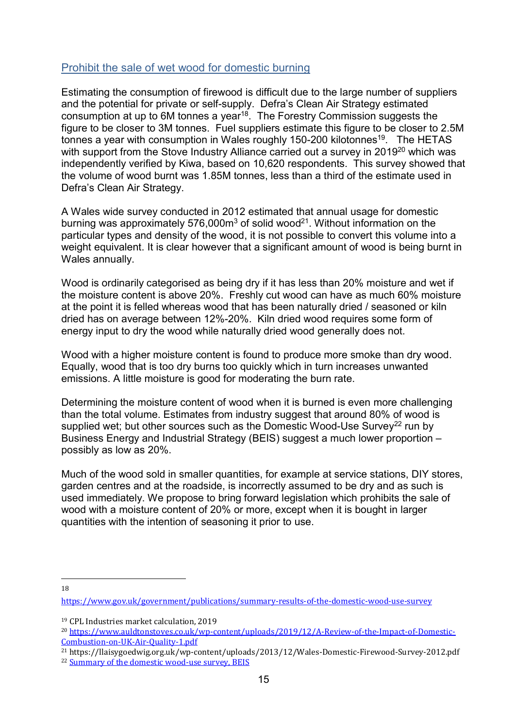## Prohibit the sale of wet wood for domestic burning

Estimating the consumption of firewood is difficult due to the large number of suppliers and the potential for private or self-supply. Defra's Clean Air Strategy estimated consumption at up to 6M tonnes a year<sup>18</sup>. The Forestry Commission suggests the figure to be closer to 3M tonnes. Fuel suppliers estimate this figure to be closer to 2.5M tonnes a year with consumption in Wales roughly 150-200 kilotonnes<sup>19</sup>. The HETAS with support from the Stove Industry Alliance carried out a survey in 2019<sup>20</sup> which was independently verified by Kiwa, based on 10,620 respondents. This survey showed that the volume of wood burnt was 1.85M tonnes, less than a third of the estimate used in Defra's Clean Air Strategy.

A Wales wide survey conducted in 2012 estimated that annual usage for domestic burning was approximately 576,000 $m<sup>3</sup>$  of solid wood<sup>21</sup>. Without information on the particular types and density of the wood, it is not possible to convert this volume into a weight equivalent. It is clear however that a significant amount of wood is being burnt in Wales annually.

Wood is ordinarily categorised as being dry if it has less than 20% moisture and wet if the moisture content is above 20%. Freshly cut wood can have as much 60% moisture at the point it is felled whereas wood that has been naturally dried / seasoned or kiln dried has on average between 12%-20%. Kiln dried wood requires some form of energy input to dry the wood while naturally dried wood generally does not.

Wood with a higher moisture content is found to produce more smoke than dry wood. Equally, wood that is too dry burns too quickly which in turn increases unwanted emissions. A little moisture is good for moderating the burn rate.

Determining the moisture content of wood when it is burned is even more challenging than the total volume. Estimates from industry suggest that around 80% of wood is supplied wet; but other sources such as the Domestic Wood-Use Survey<sup>22</sup> run by Business Energy and Industrial Strategy (BEIS) suggest a much lower proportion – possibly as low as 20%.

Much of the wood sold in smaller quantities, for example at service stations, DIY stores, garden centres and at the roadside, is incorrectly assumed to be dry and as such is used immediately. We propose to bring forward legislation which prohibits the sale of wood with a moisture content of 20% or more, except when it is bought in larger quantities with the intention of seasoning it prior to use.

-18

https://www.gov.uk/government/publications/summary-results-of-the-domestic-wood-use-survey

<sup>19</sup> CPL Industries market calculation, 2019

<sup>20</sup> https://www.auldtonstoves.co.uk/wp-content/uploads/2019/12/A-Review-of-the-Impact-of-Domestic-Combustion-on-UK-Air-Quality-1.pdf

<sup>21</sup> https://llaisygoedwig.org.uk/wp-content/uploads/2013/12/Wales-Domestic-Firewood-Survey-2012.pdf <sup>22</sup> Summary of the domestic wood-use survey, BEIS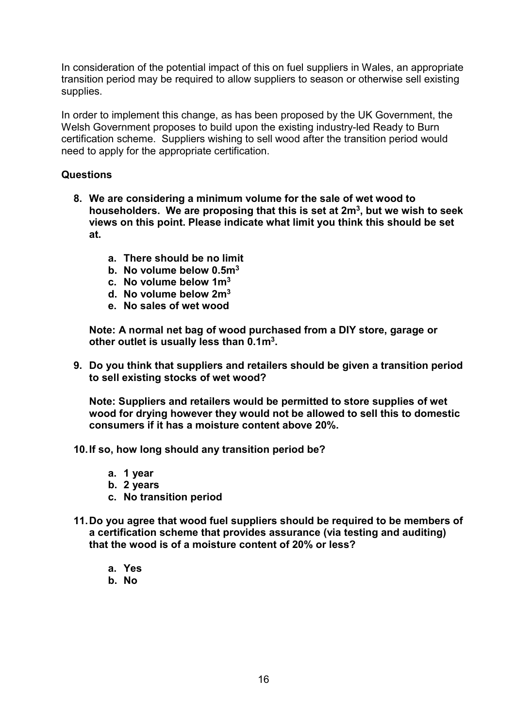In consideration of the potential impact of this on fuel suppliers in Wales, an appropriate transition period may be required to allow suppliers to season or otherwise sell existing supplies.

In order to implement this change, as has been proposed by the UK Government, the Welsh Government proposes to build upon the existing industry-led Ready to Burn certification scheme. Suppliers wishing to sell wood after the transition period would need to apply for the appropriate certification.

#### Questions

- 8. We are considering a minimum volume for the sale of wet wood to householders. We are proposing that this is set at  $2m<sup>3</sup>$ , but we wish to seek views on this point. Please indicate what limit you think this should be set at.
	- a. There should be no limit
	- b. No volume below 0.5m<sup>3</sup>
	- c. No volume below  $1m^3$
	- d. No volume below 2m<sup>3</sup>
	- e. No sales of wet wood

Note: A normal net bag of wood purchased from a DIY store, garage or other outlet is usually less than 0.1m<sup>3</sup>.

9. Do you think that suppliers and retailers should be given a transition period to sell existing stocks of wet wood?

Note: Suppliers and retailers would be permitted to store supplies of wet wood for drying however they would not be allowed to sell this to domestic consumers if it has a moisture content above 20%.

10. If so, how long should any transition period be?

- a. 1 year
- b. 2 years
- c. No transition period
- 11. Do you agree that wood fuel suppliers should be required to be members of a certification scheme that provides assurance (via testing and auditing) that the wood is of a moisture content of 20% or less?
	- a. Yes
	- b. No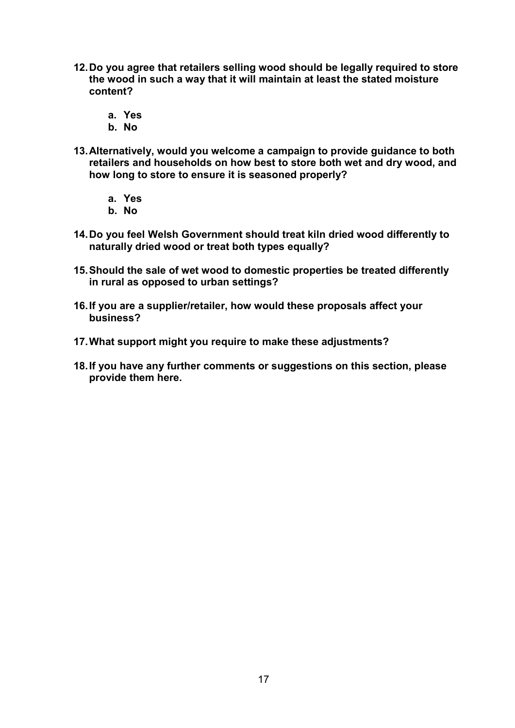- 12. Do you agree that retailers selling wood should be legally required to store the wood in such a way that it will maintain at least the stated moisture content?
	- a. Yes
	- b. No
- 13. Alternatively, would you welcome a campaign to provide guidance to both retailers and households on how best to store both wet and dry wood, and how long to store to ensure it is seasoned properly?
	- a. Yes
	- b. No
- 14. Do you feel Welsh Government should treat kiln dried wood differently to naturally dried wood or treat both types equally?
- 15. Should the sale of wet wood to domestic properties be treated differently in rural as opposed to urban settings?
- 16. If you are a supplier/retailer, how would these proposals affect your business?
- 17. What support might you require to make these adjustments?
- 18. If you have any further comments or suggestions on this section, please provide them here.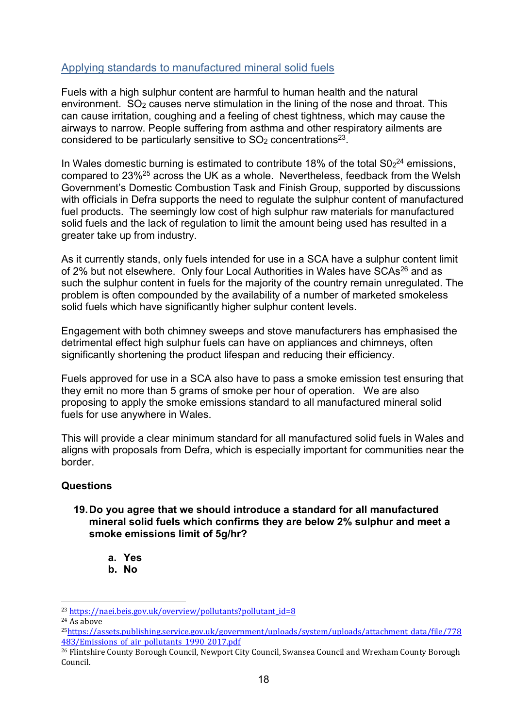### Applying standards to manufactured mineral solid fuels

Fuels with a high sulphur content are harmful to human health and the natural environment.  $SO<sub>2</sub>$  causes nerve stimulation in the lining of the nose and throat. This can cause irritation, coughing and a feeling of chest tightness, which may cause the airways to narrow. People suffering from asthma and other respiratory ailments are considered to be particularly sensitive to  $SO<sub>2</sub>$  concentrations<sup>23</sup>.

In Wales domestic burning is estimated to contribute 18% of the total  $SO<sub>2</sub><sup>24</sup>$  emissions, compared to 23%<sup>25</sup> across the UK as a whole. Nevertheless, feedback from the Welsh Government's Domestic Combustion Task and Finish Group, supported by discussions with officials in Defra supports the need to regulate the sulphur content of manufactured fuel products. The seemingly low cost of high sulphur raw materials for manufactured solid fuels and the lack of regulation to limit the amount being used has resulted in a greater take up from industry.

As it currently stands, only fuels intended for use in a SCA have a sulphur content limit of 2% but not elsewhere. Only four Local Authorities in Wales have SCAs<sup>26</sup> and as such the sulphur content in fuels for the majority of the country remain unregulated. The problem is often compounded by the availability of a number of marketed smokeless solid fuels which have significantly higher sulphur content levels.

Engagement with both chimney sweeps and stove manufacturers has emphasised the detrimental effect high sulphur fuels can have on appliances and chimneys, often significantly shortening the product lifespan and reducing their efficiency.

Fuels approved for use in a SCA also have to pass a smoke emission test ensuring that they emit no more than 5 grams of smoke per hour of operation. We are also proposing to apply the smoke emissions standard to all manufactured mineral solid fuels for use anywhere in Wales.

This will provide a clear minimum standard for all manufactured solid fuels in Wales and aligns with proposals from Defra, which is especially important for communities near the border.

#### Questions

#### 19. Do you agree that we should introduce a standard for all manufactured mineral solid fuels which confirms they are below 2% sulphur and meet a smoke emissions limit of 5g/hr?

- a. Yes
- b. No

<sup>-</sup><sup>23</sup> https://naei.beis.gov.uk/overview/pollutants?pollutant\_id=8

<sup>24</sup> As above

<sup>25</sup>https://assets.publishing.service.gov.uk/government/uploads/system/uploads/attachment\_data/file/778 483/Emissions of air pollutants 1990 2017.pdf

<sup>26</sup> Flintshire County Borough Council, Newport City Council, Swansea Council and Wrexham County Borough Council.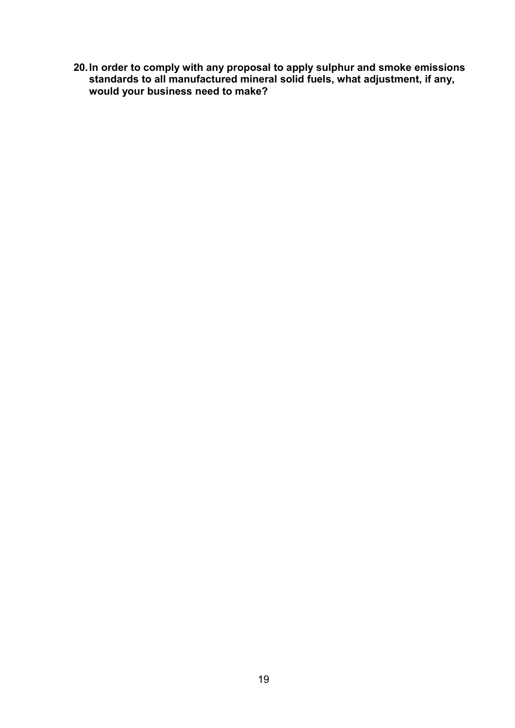20. In order to comply with any proposal to apply sulphur and smoke emissions standards to all manufactured mineral solid fuels, what adjustment, if any, would your business need to make?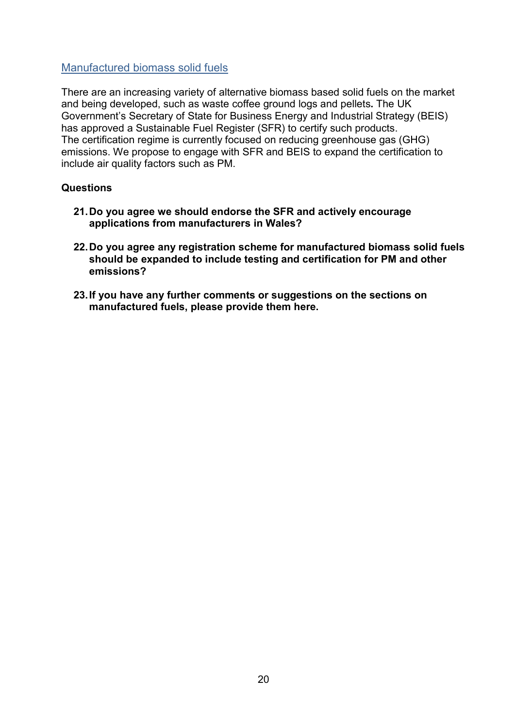#### Manufactured biomass solid fuels

There are an increasing variety of alternative biomass based solid fuels on the market and being developed, such as waste coffee ground logs and pellets. The UK Government's Secretary of State for Business Energy and Industrial Strategy (BEIS) has approved a Sustainable Fuel Register (SFR) to certify such products. The certification regime is currently focused on reducing greenhouse gas (GHG) emissions. We propose to engage with SFR and BEIS to expand the certification to include air quality factors such as PM.

#### **Questions**

- 21. Do you agree we should endorse the SFR and actively encourage applications from manufacturers in Wales?
- 22. Do you agree any registration scheme for manufactured biomass solid fuels should be expanded to include testing and certification for PM and other emissions?
- 23. If you have any further comments or suggestions on the sections on manufactured fuels, please provide them here.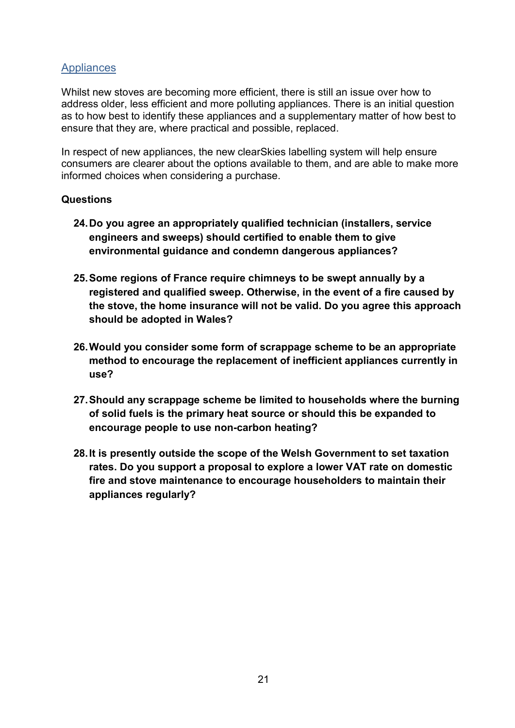### **Appliances**

Whilst new stoves are becoming more efficient, there is still an issue over how to address older, less efficient and more polluting appliances. There is an initial question as to how best to identify these appliances and a supplementary matter of how best to ensure that they are, where practical and possible, replaced.

In respect of new appliances, the new clearSkies labelling system will help ensure consumers are clearer about the options available to them, and are able to make more informed choices when considering a purchase.

#### **Questions**

- 24. Do you agree an appropriately qualified technician (installers, service engineers and sweeps) should certified to enable them to give environmental guidance and condemn dangerous appliances?
- 25. Some regions of France require chimneys to be swept annually by a registered and qualified sweep. Otherwise, in the event of a fire caused by the stove, the home insurance will not be valid. Do you agree this approach should be adopted in Wales?
- 26. Would you consider some form of scrappage scheme to be an appropriate method to encourage the replacement of inefficient appliances currently in use?
- 27. Should any scrappage scheme be limited to households where the burning of solid fuels is the primary heat source or should this be expanded to encourage people to use non-carbon heating?
- 28. It is presently outside the scope of the Welsh Government to set taxation rates. Do you support a proposal to explore a lower VAT rate on domestic fire and stove maintenance to encourage householders to maintain their appliances regularly?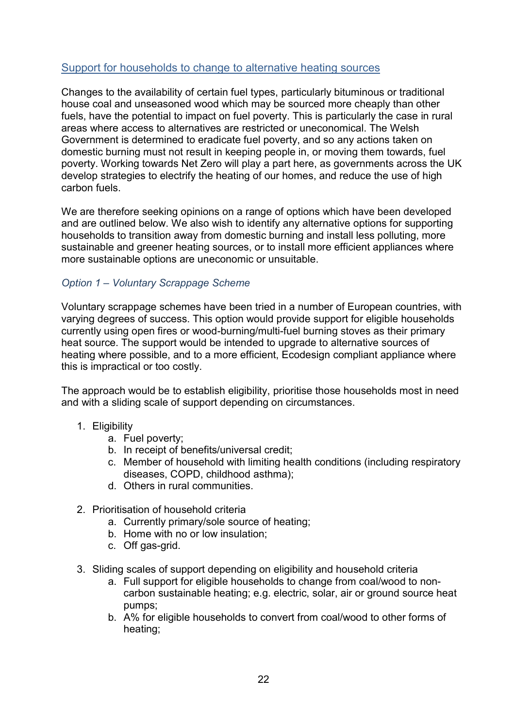### Support for households to change to alternative heating sources

Changes to the availability of certain fuel types, particularly bituminous or traditional house coal and unseasoned wood which may be sourced more cheaply than other fuels, have the potential to impact on fuel poverty. This is particularly the case in rural areas where access to alternatives are restricted or uneconomical. The Welsh Government is determined to eradicate fuel poverty, and so any actions taken on domestic burning must not result in keeping people in, or moving them towards, fuel poverty. Working towards Net Zero will play a part here, as governments across the UK develop strategies to electrify the heating of our homes, and reduce the use of high carbon fuels.

We are therefore seeking opinions on a range of options which have been developed and are outlined below. We also wish to identify any alternative options for supporting households to transition away from domestic burning and install less polluting, more sustainable and greener heating sources, or to install more efficient appliances where more sustainable options are uneconomic or unsuitable.

#### Option 1 – Voluntary Scrappage Scheme

Voluntary scrappage schemes have been tried in a number of European countries, with varying degrees of success. This option would provide support for eligible households currently using open fires or wood-burning/multi-fuel burning stoves as their primary heat source. The support would be intended to upgrade to alternative sources of heating where possible, and to a more efficient, Ecodesign compliant appliance where this is impractical or too costly.

The approach would be to establish eligibility, prioritise those households most in need and with a sliding scale of support depending on circumstances.

- 1. Eligibility
	- a. Fuel poverty;
	- b. In receipt of benefits/universal credit;
	- c. Member of household with limiting health conditions (including respiratory diseases, COPD, childhood asthma);
	- d. Others in rural communities.
- 2. Prioritisation of household criteria
	- a. Currently primary/sole source of heating;
	- b. Home with no or low insulation;
	- c. Off gas-grid.
- 3. Sliding scales of support depending on eligibility and household criteria
	- a. Full support for eligible households to change from coal/wood to noncarbon sustainable heating; e.g. electric, solar, air or ground source heat pumps;
	- b. A% for eligible households to convert from coal/wood to other forms of heating;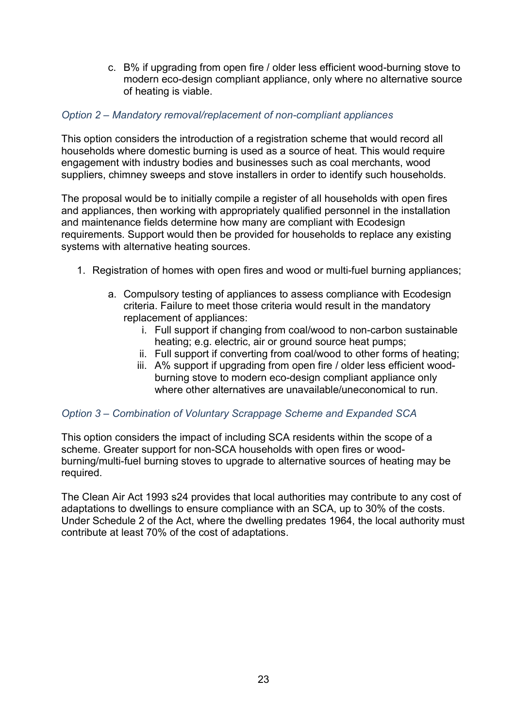c. B% if upgrading from open fire / older less efficient wood-burning stove to modern eco-design compliant appliance, only where no alternative source of heating is viable.

#### Option 2 – Mandatory removal/replacement of non-compliant appliances

This option considers the introduction of a registration scheme that would record all households where domestic burning is used as a source of heat. This would require engagement with industry bodies and businesses such as coal merchants, wood suppliers, chimney sweeps and stove installers in order to identify such households.

The proposal would be to initially compile a register of all households with open fires and appliances, then working with appropriately qualified personnel in the installation and maintenance fields determine how many are compliant with Ecodesign requirements. Support would then be provided for households to replace any existing systems with alternative heating sources.

- 1. Registration of homes with open fires and wood or multi-fuel burning appliances;
	- a. Compulsory testing of appliances to assess compliance with Ecodesign criteria. Failure to meet those criteria would result in the mandatory replacement of appliances:
		- i. Full support if changing from coal/wood to non-carbon sustainable heating; e.g. electric, air or ground source heat pumps;
		- ii. Full support if converting from coal/wood to other forms of heating;
		- iii. A% support if upgrading from open fire / older less efficient woodburning stove to modern eco-design compliant appliance only where other alternatives are unavailable/uneconomical to run.

#### Option 3 – Combination of Voluntary Scrappage Scheme and Expanded SCA

This option considers the impact of including SCA residents within the scope of a scheme. Greater support for non-SCA households with open fires or woodburning/multi-fuel burning stoves to upgrade to alternative sources of heating may be required.

The Clean Air Act 1993 s24 provides that local authorities may contribute to any cost of adaptations to dwellings to ensure compliance with an SCA, up to 30% of the costs. Under Schedule 2 of the Act, where the dwelling predates 1964, the local authority must contribute at least 70% of the cost of adaptations.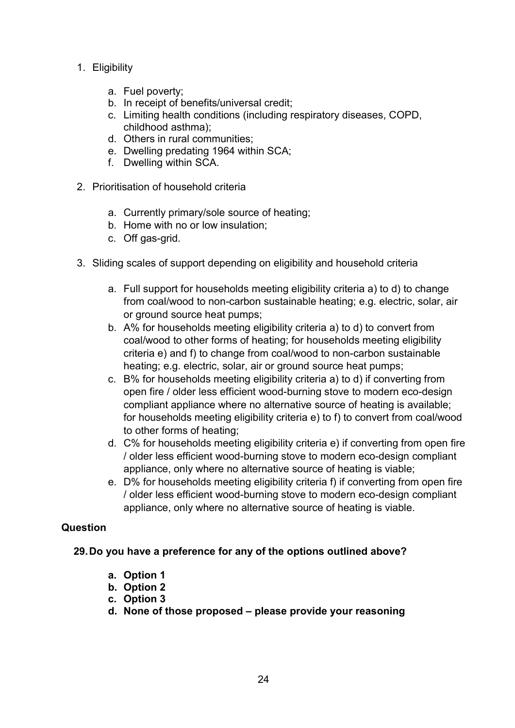- 1. Eligibility
	- a. Fuel poverty;
	- b. In receipt of benefits/universal credit;
	- c. Limiting health conditions (including respiratory diseases, COPD, childhood asthma);
	- d. Others in rural communities;
	- e. Dwelling predating 1964 within SCA;
	- f. Dwelling within SCA.
- 2. Prioritisation of household criteria
	- a. Currently primary/sole source of heating;
	- b. Home with no or low insulation;
	- c. Off gas-grid.
- 3. Sliding scales of support depending on eligibility and household criteria
	- a. Full support for households meeting eligibility criteria a) to d) to change from coal/wood to non-carbon sustainable heating; e.g. electric, solar, air or ground source heat pumps;
	- b. A% for households meeting eligibility criteria a) to d) to convert from coal/wood to other forms of heating; for households meeting eligibility criteria e) and f) to change from coal/wood to non-carbon sustainable heating; e.g. electric, solar, air or ground source heat pumps;
	- c. B% for households meeting eligibility criteria a) to d) if converting from open fire / older less efficient wood-burning stove to modern eco-design compliant appliance where no alternative source of heating is available; for households meeting eligibility criteria e) to f) to convert from coal/wood to other forms of heating;
	- d. C% for households meeting eligibility criteria e) if converting from open fire / older less efficient wood-burning stove to modern eco-design compliant appliance, only where no alternative source of heating is viable;
	- e. D% for households meeting eligibility criteria f) if converting from open fire / older less efficient wood-burning stove to modern eco-design compliant appliance, only where no alternative source of heating is viable.

#### Question

#### 29. Do you have a preference for any of the options outlined above?

- a. Option 1
- b. Option 2
- c. Option 3
- d. None of those proposed please provide your reasoning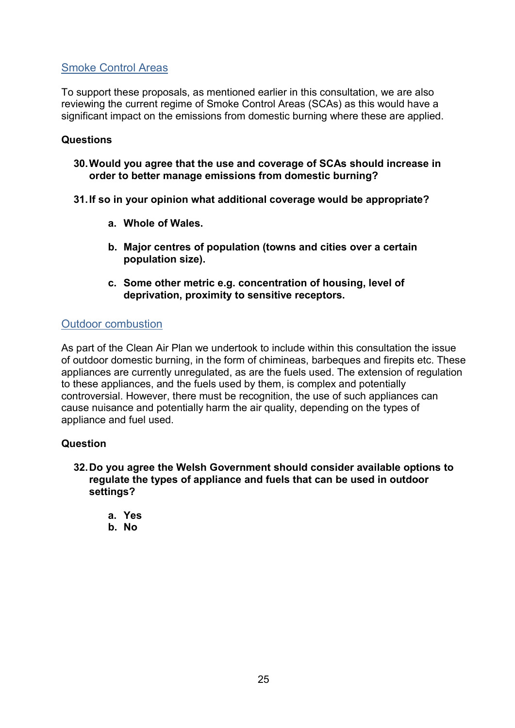# Smoke Control Areas

To support these proposals, as mentioned earlier in this consultation, we are also reviewing the current regime of Smoke Control Areas (SCAs) as this would have a significant impact on the emissions from domestic burning where these are applied.

#### **Questions**

30. Would you agree that the use and coverage of SCAs should increase in order to better manage emissions from domestic burning?

#### 31. If so in your opinion what additional coverage would be appropriate?

- a. Whole of Wales.
- b. Major centres of population (towns and cities over a certain population size).
- c. Some other metric e.g. concentration of housing, level of deprivation, proximity to sensitive receptors.

#### Outdoor combustion

As part of the Clean Air Plan we undertook to include within this consultation the issue of outdoor domestic burning, in the form of chimineas, barbeques and firepits etc. These appliances are currently unregulated, as are the fuels used. The extension of regulation to these appliances, and the fuels used by them, is complex and potentially controversial. However, there must be recognition, the use of such appliances can cause nuisance and potentially harm the air quality, depending on the types of appliance and fuel used.

#### Question

- 32. Do you agree the Welsh Government should consider available options to regulate the types of appliance and fuels that can be used in outdoor settings?
	- a. Yes
	- b. No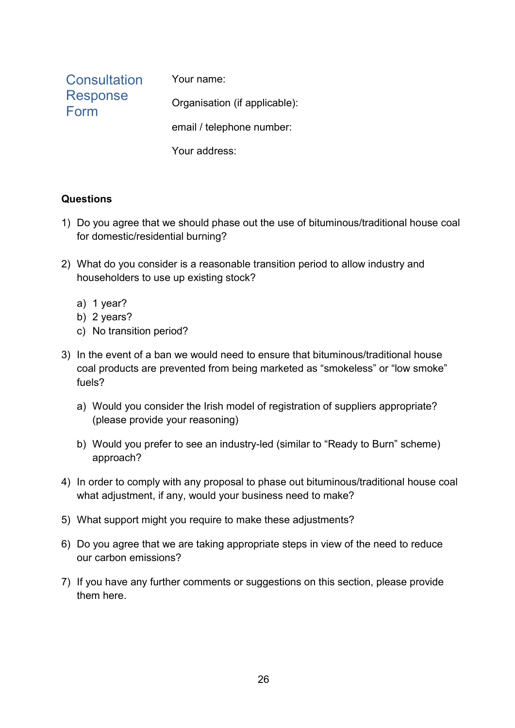| Consultation            | Your name:                    |
|-------------------------|-------------------------------|
| <b>Response</b><br>Form | Organisation (if applicable): |
|                         | email / telephone number:     |
|                         | Your address:                 |

# **Questions**

- 1) Do you agree that we should phase out the use of bituminous/traditional house coal for domestic/residential burning?
- 2) What do you consider is a reasonable transition period to allow industry and householders to use up existing stock?
	- a) 1 year?
	- b) 2 years?
	- c) No transition period?
- 3) In the event of a ban we would need to ensure that bituminous/traditional house coal products are prevented from being marketed as "smokeless" or "low smoke" fuels?
	- a) Would you consider the Irish model of registration of suppliers appropriate? (please provide your reasoning)
	- b) Would you prefer to see an industry-led (similar to "Ready to Burn" scheme) approach?
- 4) In order to comply with any proposal to phase out bituminous/traditional house coal what adjustment, if any, would your business need to make?
- 5) What support might you require to make these adjustments?
- 6) Do you agree that we are taking appropriate steps in view of the need to reduce our carbon emissions?
- 7) If you have any further comments or suggestions on this section, please provide them here.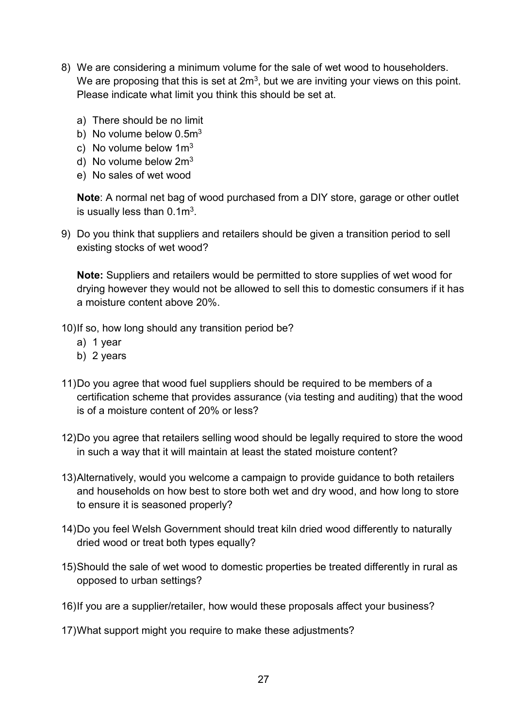- 8) We are considering a minimum volume for the sale of wet wood to householders. We are proposing that this is set at  $2m<sup>3</sup>$ , but we are inviting your views on this point. Please indicate what limit you think this should be set at.
	- a) There should be no limit
	- b) No volume below 0.5m<sup>3</sup>
	- c) No volume below  $1m<sup>3</sup>$
	- d) No volume below  $2m<sup>3</sup>$
	- e) No sales of wet wood

Note: A normal net bag of wood purchased from a DIY store, garage or other outlet is usually less than  $0.1 \text{m}^3$ .

9) Do you think that suppliers and retailers should be given a transition period to sell existing stocks of wet wood?

Note: Suppliers and retailers would be permitted to store supplies of wet wood for drying however they would not be allowed to sell this to domestic consumers if it has a moisture content above 20%.

- 10) If so, how long should any transition period be?
	- a) 1 year
	- b) 2 years
- 11) Do you agree that wood fuel suppliers should be required to be members of a certification scheme that provides assurance (via testing and auditing) that the wood is of a moisture content of 20% or less?
- 12) Do you agree that retailers selling wood should be legally required to store the wood in such a way that it will maintain at least the stated moisture content?
- 13) Alternatively, would you welcome a campaign to provide guidance to both retailers and households on how best to store both wet and dry wood, and how long to store to ensure it is seasoned properly?
- 14) Do you feel Welsh Government should treat kiln dried wood differently to naturally dried wood or treat both types equally?
- 15) Should the sale of wet wood to domestic properties be treated differently in rural as opposed to urban settings?
- 16) If you are a supplier/retailer, how would these proposals affect your business?
- 17) What support might you require to make these adjustments?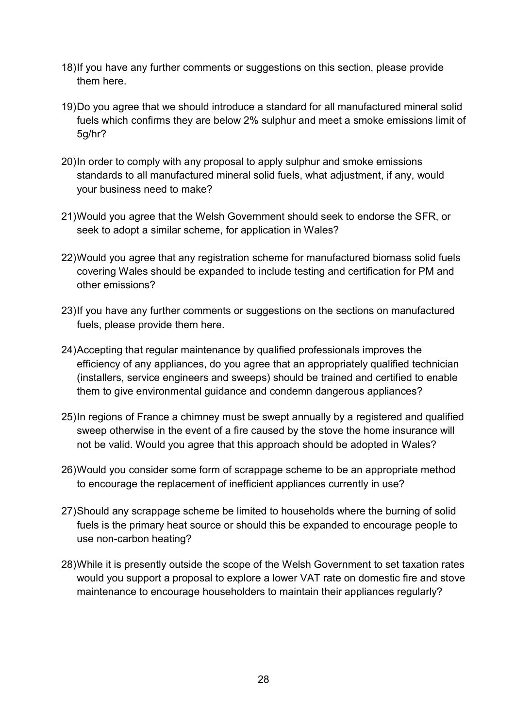- 18) If you have any further comments or suggestions on this section, please provide them here.
- 19) Do you agree that we should introduce a standard for all manufactured mineral solid fuels which confirms they are below 2% sulphur and meet a smoke emissions limit of 5g/hr?
- 20) In order to comply with any proposal to apply sulphur and smoke emissions standards to all manufactured mineral solid fuels, what adjustment, if any, would your business need to make?
- 21) Would you agree that the Welsh Government should seek to endorse the SFR, or seek to adopt a similar scheme, for application in Wales?
- 22) Would you agree that any registration scheme for manufactured biomass solid fuels covering Wales should be expanded to include testing and certification for PM and other emissions?
- 23) If you have any further comments or suggestions on the sections on manufactured fuels, please provide them here.
- 24) Accepting that regular maintenance by qualified professionals improves the efficiency of any appliances, do you agree that an appropriately qualified technician (installers, service engineers and sweeps) should be trained and certified to enable them to give environmental guidance and condemn dangerous appliances?
- 25) In regions of France a chimney must be swept annually by a registered and qualified sweep otherwise in the event of a fire caused by the stove the home insurance will not be valid. Would you agree that this approach should be adopted in Wales?
- 26) Would you consider some form of scrappage scheme to be an appropriate method to encourage the replacement of inefficient appliances currently in use?
- 27) Should any scrappage scheme be limited to households where the burning of solid fuels is the primary heat source or should this be expanded to encourage people to use non-carbon heating?
- 28) While it is presently outside the scope of the Welsh Government to set taxation rates would you support a proposal to explore a lower VAT rate on domestic fire and stove maintenance to encourage householders to maintain their appliances regularly?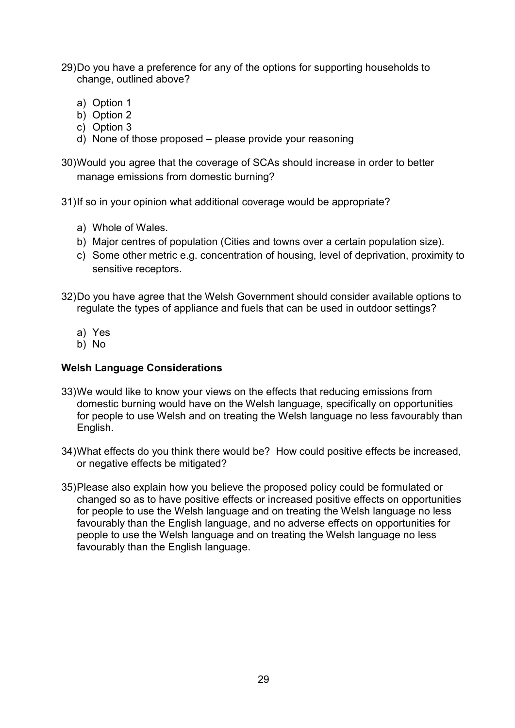- 29) Do you have a preference for any of the options for supporting households to change, outlined above?
	- a) Option 1
	- b) Option 2
	- c) Option 3
	- d) None of those proposed please provide your reasoning

30) Would you agree that the coverage of SCAs should increase in order to better manage emissions from domestic burning?

31) If so in your opinion what additional coverage would be appropriate?

- a) Whole of Wales.
- b) Major centres of population (Cities and towns over a certain population size).
- c) Some other metric e.g. concentration of housing, level of deprivation, proximity to sensitive receptors.
- 32) Do you have agree that the Welsh Government should consider available options to regulate the types of appliance and fuels that can be used in outdoor settings?
	- a) Yes
	- b) No

#### Welsh Language Considerations

- 33) We would like to know your views on the effects that reducing emissions from domestic burning would have on the Welsh language, specifically on opportunities for people to use Welsh and on treating the Welsh language no less favourably than English.
- 34) What effects do you think there would be? How could positive effects be increased, or negative effects be mitigated?
- 35) Please also explain how you believe the proposed policy could be formulated or changed so as to have positive effects or increased positive effects on opportunities for people to use the Welsh language and on treating the Welsh language no less favourably than the English language, and no adverse effects on opportunities for people to use the Welsh language and on treating the Welsh language no less favourably than the English language.